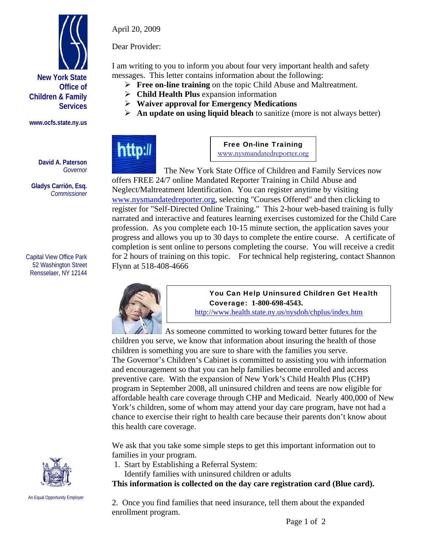

**Children & Family** 

**www.ocfs.state.ny.us** 

**David A. Paterson**  *Governor* 

**Gladys Carrión, Esq.**  *Commissioner* 

Capital View Office Park 52 Washington Street Rensselaer, NY 12144



April 20, 2009

Dear Provider:

I am writing to you to inform you about four very important health and safety messages. This letter contains information about the following:

- **Free on-line training** on the topic Child Abuse and Maltreatment.
- **Child Health Plus** expansion information
- **Waiver approval for Emergency Medications**
- **An update on using liquid bleach** to sanitize (more is not always better)



Free On-line Training www.nysmandatedreporter.org

 The New York State Office of Children and Family Services now offers FREE 24/7 online Mandated Reporter Training in Child Abuse and Neglect/Maltreatment Identification. You can register anytime by visiting www.nysmandatedreporter.org, selecting "Courses Offered" and then clicking to register for "Self-Directed Online Training." This 2-hour web-based training is fully narrated and interactive and features learning exercises customized for the Child Care profession. As you complete each 10-15 minute section, the application saves your progress and allows you up to 30 days to complete the entire course. A certificate of completion is sent online to persons completing the course. You will receive a credit for 2 hours of training on this topic. For technical help registering, contact Shannon Flynn at 518-408-4666



You Can Help Uninsured Children Get Health Coverage: **1-800-698-4543.** 

http://www.health.state.ny.us/nysdoh/chplus/index.htm

 As someone committed to working toward better futures for the children you serve, we know that information about insuring the health of those children is something you are sure to share with the families you serve. The Governor's Children's Cabinet is committed to assisting you with information and encouragement so that you can help families become enrolled and access preventive care. With the expansion of New York's Child Health Plus (CHP) program in September 2008, all uninsured children and teens are now eligible for affordable health care coverage through CHP and Medicaid. Nearly 400,000 of New York's children, some of whom may attend your day care program, have not had a chance to exercise their right to health care because their parents don't know about this health care coverage.

We ask that you take some simple steps to get this important information out to families in your program.

- 1. Start by Establishing a Referral System:
	- Identify families with uninsured children or adults

**This information is collected on the day care registration card (Blue card).** 

2. Once you find families that need insurance, tell them about the expanded enrollment program.



An Equal Opportunity Employer